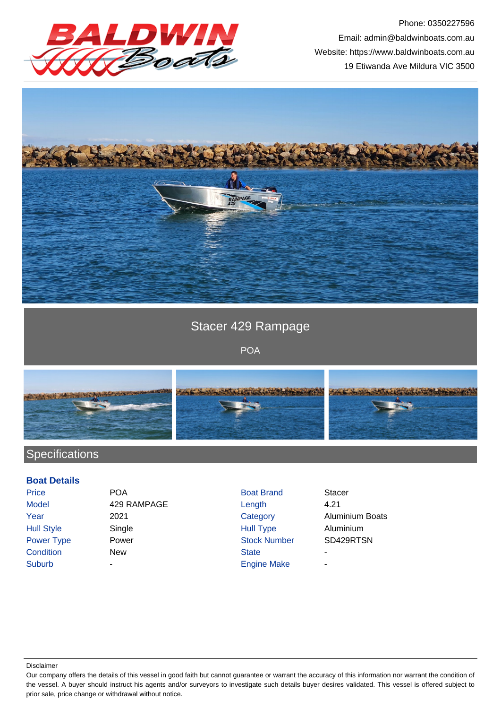

Phone: 0350227596 Email: admin@baldwinboats.com.au Website: https://www.baldwinboats.com.au 19 Etiwanda Ave Mildura VIC 3500



## Stacer 429 Rampage

POA



## **Specifications**

## **Boat Details**

| Price             | <b>POA</b>  | <b>Boat Brand</b>   | <b>Stacer</b> |
|-------------------|-------------|---------------------|---------------|
| <b>Model</b>      | 429 RAMPAGE | Length              | 4.21          |
| Year              | 2021        | Category            | Alumin        |
| <b>Hull Style</b> | Single      | <b>Hull Type</b>    | Alumin        |
| Power Type        | Power       | <b>Stock Number</b> | SD429         |
| Condition         | New         | <b>State</b>        | ٠             |
| <b>Suburb</b>     | -           | <b>Engine Make</b>  | ۰             |
|                   |             |                     |               |

- Hull Type Aluminium **Stock Number SD429RTSN Engine Make**
- Category **Aluminium Boats**

Disclaimer

Our company offers the details of this vessel in good faith but cannot guarantee or warrant the accuracy of this information nor warrant the condition of the vessel. A buyer should instruct his agents and/or surveyors to investigate such details buyer desires validated. This vessel is offered subject to prior sale, price change or withdrawal without notice.